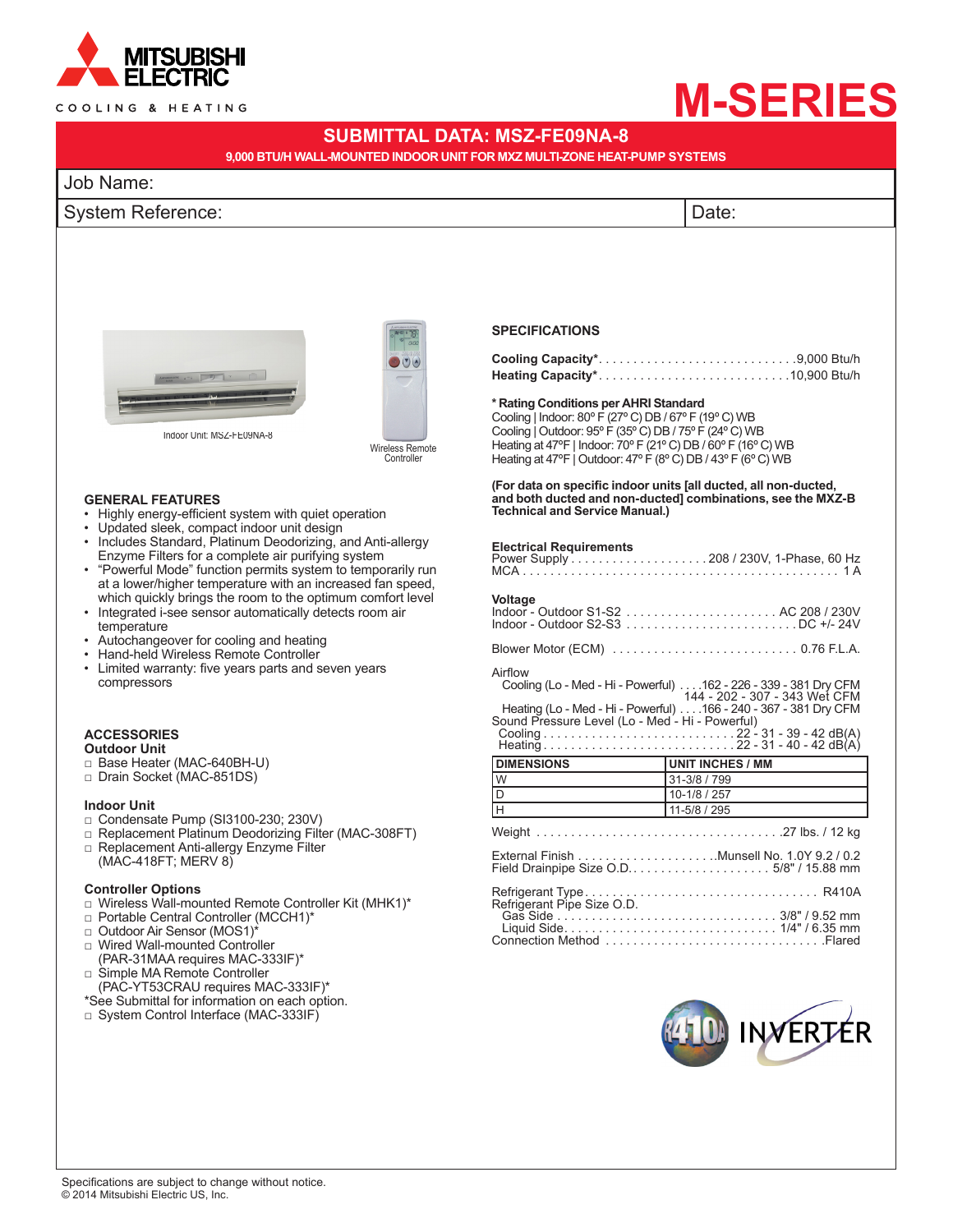

#### COOLING & HEATING

# **M-SERIES**

# **SUBMITTAL DATA: MSZ-FE09NA-8**

**9,000 BTU/H WALL-MOUNTED INDOOR UNIT FOR MXZ MULTI-ZONE HEAT-PUMP SYSTEMS**

# Job Name:

## System Reference:  $|$ Date:  $|$





Wireless Remote Controller

#### **GENERAL FEATURES**

- • Highly energy-efficient system with quiet operation
- • Updated sleek, compact indoor unit design
- Includes Standard, Platinum Deodorizing, and Anti-allergy Enzyme Filters for a complete air purifying system
- "Powerful Mode" function permits system to temporarily run at a lower/higher temperature with an increased fan speed, which quickly brings the room to the optimum comfort level
- Integrated i-see sensor automatically detects room air temperature
- Autochangeover for cooling and heating
- • Hand-held Wireless Remote Controller
- • Limited warranty: five years parts and seven years compressors

### **ACCESSORIES**

- **Outdoor Unit**
- □ Base Heater (MAC-640BH-U)
- □ Drain Socket (MAC-851DS)

#### **Indoor Unit**

- □ Condensate Pump (SI3100-230; 230V)
- □ Replacement Platinum Deodorizing Filter (MAC-308FT)
- □ Replacement Anti-allergy Enzyme Filter (MAC-418FT; MERV 8)

#### **Controller Options**

- □ Wireless Wall-mounted Remote Controller Kit (MHK1)\*
- □ Portable Central Controller (MCCH1)\*
- □ Outdoor Air Sensor (MOS1)\*
- □ Wired Wall-mounted Controller (PAR-31MAA requires MAC-333IF)\* □ Simple MA Remote Controller
- (PAC-YT53CRAU requires MAC-333IF)\*
- \*See Submittal for information on each option.
- □ System Control Interface (MAC-333IF)

#### **SPECIFICATIONS**

#### **\* Rating Conditions per AHRI Standard**

Cooling | Indoor: 80º F (27º C) DB / 67º F (19º C) WB Cooling | Outdoor: 95º F (35º C) DB / 75º F (24º C) WB Heating at 47ºF | Indoor: 70º F (21º C) DB / 60º F (16º C) WB Heating at 47°F | Outdoor: 47°F (8°C) DB / 43°F (6°C) WB

**(For data on specific indoor units [all ducted, all non-ducted, and both ducted and non-ducted] combinations, see the MXZ-B Technical and Service Manual.)**

#### **Electrical Requirements**

| Voltage                                         |                                                                                                   |
|-------------------------------------------------|---------------------------------------------------------------------------------------------------|
|                                                 |                                                                                                   |
| Airflow                                         | Cooling (Lo - Med - Hi - Powerful) 162 - 226 - 339 - 381 Dry CFM<br>144 - 202 - 307 - 343 Wet CFM |
| Sound Pressure Level (Lo - Med - Hi - Powerful) | Heating (Lo - Med - Hi - Powerful) 166 - 240 - 367 - 381 Dry CFM                                  |
|                                                 |                                                                                                   |
| <b>IDIMENSIONS</b>                              | <b>UNIT INCHES / MM</b>                                                                           |
| Iw                                              | 31-3/8 / 799                                                                                      |
| ID                                              | 10-1/8 / 257                                                                                      |
| Iн                                              | $11-5/8/295$                                                                                      |
|                                                 |                                                                                                   |
|                                                 |                                                                                                   |
| Refrigerant Pipe Size O.D.                      |                                                                                                   |